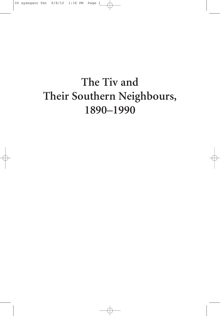# The Tiv and Their Southern Neighbours, 1890-1990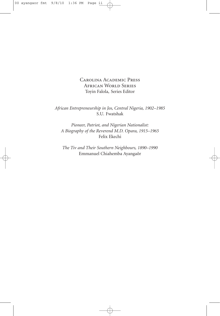Carolina Academic Press African World Series Toyin Falola, Series Editor

*African Entrepreneurship in Jos, Central Nigeria, 1902–1985* S.U. Fwatshak

*Pioneer, Patriot, and Nigerian Nationalist: A Biography of the Reverend M.D. Opara, 1915–1965* Felix Ekechi

*The Tiv and Their Southern Neighbours, 1890–1990* Emmanuel Chiahemba Ayangaôr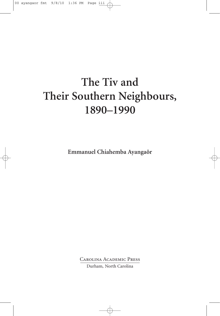# **The Tiv and Their Southern Neighbours, 1890–1990**

**Emmanuel Chiahemba Ayangaôr**

Carolina Academic Press

Durham, North Carolina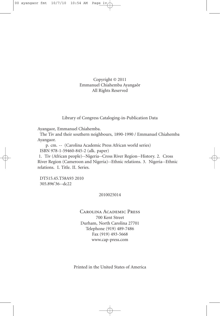Copyright © 2011 Emmanuel Chiahemba Ayangaôr All Rights Reserved

Library of Congress Cataloging-in-Publication Data

Ayangaor, Emmanuel Chiahemba.

The Tiv and their southern neighbours, 1890-1990 / Emmanuel Chiahemba Ayangaor.

p. cm. -- (Carolina Academic Press African world series) ISBN 978-1-59460-845-2 (alk. paper)

1. Tiv (African people)--Nigeria--Cross River Region--History. 2. Cross River Region (Cameroon and Nigeria)--Ethnic relations. 3. Nigeria--Ethnic relations. I. Title. II. Series.

DT515.45.T58A93 2010 305.896'36--dc22

#### 2010025014

#### Carolina Academic Press 700 Kent Street Durham, North Carolina 27701 Telephone (919) 489-7486 Fax (919) 493-5668 www.cap-press.com

Printed in the United States of America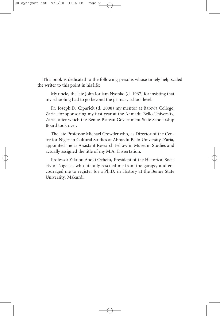This book is dedicated to the following persons whose timely help scaled the writer to this point in his life:

My uncle, the late John Iorliam Nyonko (d. 1967) for insisting that my schooling had to go beyond the primary school level.

Fr. Joseph D. Ciparick (d. 2008) my mentor at Barewa College, Zaria, for sponsoring my first year at the Ahmadu Bello University, Zaria, after which the Benue-Plateau Government State Scholarship Board took over.

The late Professor Michael Crowder who, as Director of the Centre for Nigerian Cultural Studies at Ahmadu Bello University, Zaria, appointed me as Assistant Research Fellow in Museum Studies and actually assigned the title of my M.A. Dissertation.

Professor Yakubu Aboki Ochefu, President of the Historical Society of Nigeria, who literally rescued me from the garage, and encouraged me to register for a Ph.D. in History at the Benue State University, Makurdi.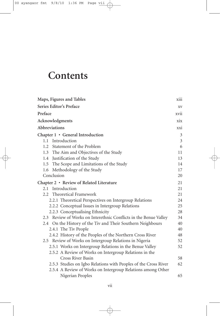## **Contents**

| Maps, Figures and Tables                                         | X111           |
|------------------------------------------------------------------|----------------|
| Series Editor's Preface                                          | XV             |
| Preface<br>xvii                                                  |                |
| Acknowledgments                                                  | xix            |
| Abbreviations                                                    | xxi            |
| Chapter 1 • General Introduction                                 | 3              |
| 1.1 Introduction                                                 | $\mathfrak{Z}$ |
| Statement of the Problem<br>1.2                                  | 6              |
| 1.3 The Aim and Objectives of the Study                          | 11             |
| 1.4 Justification of the Study                                   | 13             |
| 1.5 The Scope and Limitations of the Study                       | 14             |
| Methodology of the Study<br>1.6                                  | 17             |
| Conclusion                                                       | 20             |
| Chapter 2 • Review of Related Literature                         | 21             |
| 2.1 Introduction                                                 | 21             |
| 2.2 Theoretical Framework                                        | 21             |
| 2.2.1 Theoretical Perspectives on Intergroup Relations           | 24             |
| 2.2.2 Conceptual Issues in Intergroup Relations                  | 25             |
| 2.2.3 Conceptualising Ethnicity                                  | 28             |
| 2.3 Review of Works on Interethnic Conflicts in the Benue Valley | 34             |
| 2.4 On the History of the Tiv and Their Southern Neighbours      | 40             |
| 2.4.1 The Tiv People                                             | 40             |
| 2.4.2 History of the Peoples of the Northern Cross River         | 48             |
| 2.5 Review of Works on Intergroup Relations in Nigeria           | 52             |
| 2.5.1 Works on Intergroup Relations in the Benue Valley          | 52             |
| 2.5.2 A Review of Works on Intergroup Relations in the           |                |
| Cross River Basin                                                | 58             |
| 2.5.3 Studies on Igbo Relations with Peoples of the Cross River  | 62             |
| 2.5.4 A Review of Works on Intergroup Relations among Other      |                |
| Nigerian Peoples                                                 | 65             |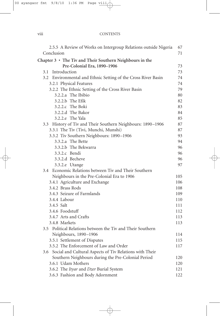#### viii CONTENTS

| 2.5.5 A Review of Works on Intergroup Relations outside Nigeria<br>Conclusion | 67<br>71 |
|-------------------------------------------------------------------------------|----------|
|                                                                               |          |
| Chapter $3 \cdot$ The Tiv and Their Southern Neighbours in the                |          |
| Pre-Colonial Era, 1890-1906                                                   | 73       |
| 3.1 Introduction                                                              | 73       |
| 3.2 Environmental and Ethnic Setting of the Cross River Basin                 | 74       |
| 3.2.1 Physical Features                                                       | 74       |
| 3.2.2 The Ethnic Setting of the Cross River Basin                             | 79       |
| 3.2.2.a The Ibibio                                                            | 80       |
| 3.2.2.b The Efik                                                              | 82       |
| 3.2.2.c The Boki                                                              | 83       |
| 3.2.2.d The Bakor                                                             | 84       |
| 3.2.2.e The Yala                                                              | 85       |
| 3.3 History of Tiv and Their Southern Neighbours: 1890-1906                   | 87       |
| 3.3.1 The Tiv (Tivi, Munchi, Munshi)                                          | 87       |
| 3.3.2 Tiv Southern Neighbours: 1890-1906                                      | 93       |
| 3.3.2.a The Bette                                                             | 94       |
| 3.3.2.b The Bekwarra                                                          | 96       |
| 3.3.2.c Bendi                                                                 | 96       |
| 3.3.2.d Becheve                                                               | 96       |
| 3.3.2.e Utange                                                                | 97       |
| 3.4 Economic Relations between Tiv and Their Southern                         |          |
| Neighbours in the Pre-Colonial Era to 1906                                    | 105      |
| 3.4.1 Agriculture and Exchange                                                | 106      |
| 3.4.2 Brass Rods                                                              | 108      |
| 3.4.3 Seizure of Farmlands                                                    | 109      |
| 3.4.4 Labour                                                                  | 110      |
| 3.4.5 Salt                                                                    | 111      |
| 3.4.6 Foodstuff                                                               | 112      |
| 3.4.7 Arts and Crafts                                                         | 113      |
| 3.4.8 Markets                                                                 | 113      |
| 3.5 Political Relations between the Tiv and Their Southern                    |          |
| Neighbours, 1890-1906                                                         | 114      |
| 3.5.1 Settlement of Disputes                                                  | 115      |
| 3.5.2 The Enforcement of Law and Order                                        | 117      |
| Social and Cultural Aspects of Tiv Relations with Their<br>3.6                |          |
| Southern Neighbours during the Pre-Colonial Period                            | 120      |
| 3.6.1 Udam Mothers                                                            | 120      |
| 3.6.2 The Ityar and Dzer Burial System                                        | 121      |
| 3.6.3 Fashion and Body Adornment                                              | 122      |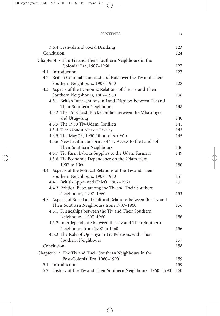| <b>CONTENTS</b> |  |
|-----------------|--|
|                 |  |

| 3.6.4 Festivals and Social Drinking                              | 123 |
|------------------------------------------------------------------|-----|
| Conclusion                                                       | 124 |
| Chapter 4 • The Tiv and Their Southern Neighbours in the         |     |
| Colonial Era, 1907-1960                                          | 127 |
| Introduction<br>4.1                                              | 127 |
| 4.2 British Colonial Conquest and Rule over the Tiv and Their    |     |
| Southern Neighbours, 1907-1960                                   | 128 |
| Aspects of the Economic Relations of the Tiv and Their<br>4.3    |     |
| Southern Neighbours, 1907-1960                                   | 136 |
| 4.3.1 British Interventions in Land Disputes between Tiv and     |     |
| Their Southern Neighbours                                        | 138 |
| 4.3.2 The 1938 Bush Buck Conflict between the Mbayongo           |     |
| and Utugwang                                                     | 140 |
| 4.3.3 The 1950 Tiv-Udam Conflicts                                | 141 |
| 4.3.4 Tsar-Obudu Market Rivalry                                  | 142 |
| 4.3.5 The May 23, 1950 Obudu-Tsar War                            | 145 |
| 4.3.6 New Legitimate Forms of Tiv Access to the Lands of         |     |
| Their Southern Neighbours                                        | 146 |
| 4.3.7 Tiv Farm Labour Supplies to the Udam Farmers               | 149 |
| 4.3.8 Tiv Economic Dependence on the Udam from                   |     |
| 1907 to 1960                                                     | 150 |
| Aspects of the Political Relations of the Tiv and Their<br>4.4   |     |
| Southern Neighbours, 1907-1960                                   | 151 |
| 4.4.1 British Appointed Chiefs, 1907-1960                        | 151 |
| 4.4.2 Political Elites among the Tiv and Their Southern          |     |
| Neighbours, 1907-1960                                            | 153 |
| 4.5 Aspects of Social and Cultural Relations between the Tiv and |     |
| Their Southern Neighbours from 1907-1960                         | 156 |
| 4.5.1 Friendships between the Tiv and Their Southern             |     |
| Neighbours, 1907-1960                                            | 156 |
| 4.5.2 Interdependence between the Tiv and Their Southern         |     |
| Neighbours from 1907 to 1960                                     | 156 |
| 4.5.3 The Role of Ogirinya in Tiv Relations with Their           |     |
| Southern Neighbours                                              | 157 |
| Conclusion                                                       | 158 |
| Chapter $5 \cdot$ The Tiv and Their Southern Neighbours in the   |     |
| Post-Colonial Era, 1960-1990                                     | 159 |
| Introduction<br>5.1                                              | 159 |
| 5.2 History of the Tiv and Their Southern Neighbours, 1960-1990  | 160 |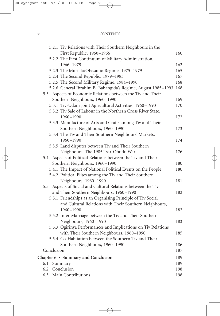#### x CONTENTS

| 5.2.1 Tiv Relations with Their Southern Neighbours in the       |     |
|-----------------------------------------------------------------|-----|
| First Republic, 1960-1966                                       | 160 |
| 5.2.2 The First Continuum of Military Administration,           |     |
| 1966-1979                                                       | 162 |
| 5.2.3 The Murtala/Obasanjo Regime, 1975-1979                    | 165 |
| 5.2.4 The Second Republic, 1979-1983                            | 167 |
| 5.2.5 The Second Military Regime, 1984-1990                     | 168 |
| 5.2.6 General Ibrahim B. Babangida's Regime, August 1985-1993   | 168 |
| 5.3 Aspects of Economic Relations between the Tiv and Their     |     |
| Southern Neighbours, 1960-1990                                  | 169 |
| 5.3.1 Tiv-Udam Joint Agricultural Activities, 1960-1990         | 170 |
| 5.3.2 Tiv Sale of Labour in the Northern Cross River State,     |     |
| 1960-1990                                                       | 172 |
| 5.3.3 Manufacture of Arts and Crafts among Tiv and Their        |     |
| Southern Neighbours, 1960-1990                                  | 173 |
| 5.3.4 The Tiv and Their Southern Neighbours' Markets,           |     |
| 1960-1990                                                       | 174 |
| 5.3.5 Land disputes between Tiv and Their Southern              |     |
| Neighbours: The 1985 Tsar-Obudu War                             | 176 |
| 5.4 Aspects of Political Relations between the Tiv and Their    |     |
| Southern Neighbours, 1960-1990                                  | 180 |
| 5.4.1 The Impact of National Political Events on the People     | 180 |
| 5.4.2 Political Elites among the Tiv and Their Southern         |     |
| Neighbours, 1960-1990                                           | 181 |
| Aspects of Social and Cultural Relations between the Tiv<br>5.5 |     |
| and Their Southern Neighbours, 1960-1990                        | 182 |
| 5.5.1 Friendships as an Organising Principle of Tiv Social      |     |
| and Cultural Relations with Their Southern Neighbours,          |     |
| 1960-1990                                                       | 182 |
| 5.5.2 Inter-Marriage between the Tiv and Their Southern         |     |
| Neighbours, 1960-1990                                           | 183 |
| 5.5.3 Ogirinya Performances and Implications on Tiv Relations   |     |
| with Their Southern Neighbours, 1960-1990                       | 185 |
| 5.5.4 Co-Habitation between the Southern Tiv and Their          |     |
| Southern Neighbours, 1960-1990                                  | 186 |
| Conclusion                                                      | 187 |
| Chapter 6 • Summary and Conclusion                              | 189 |
| Summary<br>6.1                                                  | 189 |
| Conclusion<br>6.2                                               | 198 |
| Main Contributions<br>6.3                                       | 198 |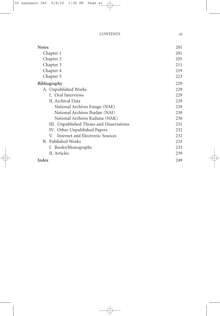| <b>Notes</b>                              | 201 |
|-------------------------------------------|-----|
| Chapter 1                                 | 201 |
| Chapter 2                                 | 205 |
| Chapter 3                                 | 211 |
| Chapter 4                                 | 219 |
| Chapter 5                                 | 223 |
| <b>Bibliography</b>                       | 229 |
| A. Unpublished Works                      | 229 |
| I. Oral Interviews                        | 229 |
| II. Archival Data                         | 229 |
| National Archives Enugu (NAE)             | 229 |
| National Archives Ibadan (NAI)            | 230 |
| National Archives Kaduna (NAK)            | 230 |
| III. Unpublished Theses and Dissertations | 231 |
| IV. Other Unpublished Papers              | 232 |
| Internet and Electronic Sources<br>V.     | 232 |
| B. Published Works                        | 233 |
| I. Books/Monographs                       | 233 |
| II. Articles                              | 239 |
| Index                                     | 249 |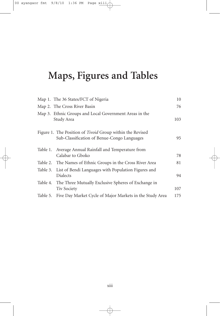## **Maps, Figures and Tables**

|          | Map 1. The 36 States/FCT of Nigeria                                                                             | 10  |
|----------|-----------------------------------------------------------------------------------------------------------------|-----|
|          | Map 2. The Cross River Basin                                                                                    | 76  |
|          | Map 3. Ethnic Groups and Local Government Areas in the<br>Study Area                                            | 103 |
|          | Figure 1. The Position of <i>Tivoid</i> Group within the Revised<br>Sub-Classification of Benue-Congo Languages | 95  |
| Table 1. | Average Annual Rainfall and Temperature from<br>Calabar to Gboko                                                | 78  |
|          | Table 2. The Names of Ethnic Groups in the Cross River Area                                                     | 81  |
|          | Table 3. List of Bendi Languages with Population Figures and<br>Dialects                                        | 94  |
|          | Table 4. The Three Mutually Exclusive Spheres of Exchange in<br><b>Tiv Society</b>                              | 107 |
| Table 5. | Five Day Market Cycle of Major Markets in the Study Area                                                        | 175 |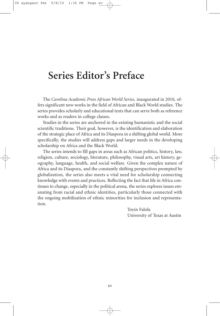### **Series Editor's Preface**

The *Carolina Academic Press African World Series*, inaugurated in 2010, offers significant new works in the field of African and Black World studies. The series provides scholarly and educational texts that can serve both as reference works and as readers in college classes.

Studies in the series are anchored in the existing humanistic and the social scientific traditions. Their goal, however, is the identification and elaboration of the strategic place of Africa and its Diaspora in a shifting global world. More specifically, the studies will address gaps and larger needs in the developing scholarship on Africa and the Black World.

The series intends to fill gaps in areas such as African politics, history, law, religion, culture, sociology, literature, philosophy, visual arts, art history, geography, language, health, and social welfare. Given the complex nature of Africa and its Diaspora, and the constantly shifting perspectives prompted by globalization, the series also meets a vital need for scholarship connecting knowledge with events and practices. Reflecting the fact that life in Africa continues to change, especially in the political arena, the series explores issues emanating from racial and ethnic identities, particularly those connected with the ongoing mobilization of ethnic minorities for inclusion and representation.

> Toyin Falola University of Texas at Austin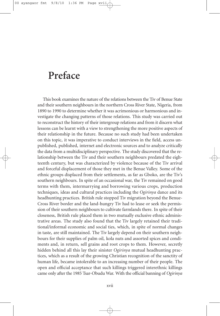### **Preface**

This book examines the nature of the relations between the Tiv of Benue State and their southern neighbours in the northern Cross River State, Nigeria, from 1890 to 1990 to determine whether it was acrimonious or harmonious and investigate the changing patterns of those relations. This study was carried out to reconstruct the history of their intergroup relations and from it discern what lessons can be learnt with a view to strengthening the more positive aspects of their relationship in the future. Because no such study had been undertaken on this topic, it was imperative to conduct interviews in the field, access unpublished, published, internet and electronic sources and to analyze critically the data from a multidisciplinary perspective. The study discovered that the relationship between the Tiv and their southern neighbours predated the eighteenth century, but was characterized by violence because of the Tiv arrival and forceful displacement of those they met in the Benue Valley. Some of the ethnic groups displaced from their settlements, as far as Gboko, are the Tiv's southern neighbours. In spite of an occasional war, the Tiv remained on good terms with them, intermarrying and borrowing various crops, production techniques, ideas and cultural practices including the *Ogirinya* dance and its headhunting practices. British rule stopped Tiv migration beyond the Benue-Cross River border and the land-hungry Tiv had to lease or seek the permission of their southern neighbours to cultivate farmlands there. In spite of their closeness, British rule placed them in two mutually exclusive ethnic administrative areas. The study also found that the Tiv largely retained their traditional/informal economic and social ties, which, in spite of normal changes in taste, are still maintained. The Tiv largely depend on their southern neighbours for their supplies of palm oil, kola nuts and assorted spices and condiments and, in return, sell grains and root crops to them. However, secretly hidden behind all this lay their sinister *Ogirinya* mutual headhunting practices, which as a result of the growing Christian recognition of the sanctity of human life, became intolerable to an increasing number of their people. The open and official acceptance that such killings triggered interethnic killings came only after the 1985 Tsar-Obudu War. With the official banning of *Ogirinya*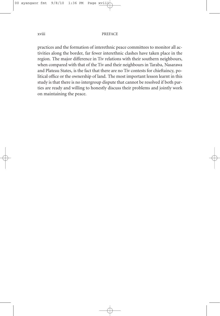practices and the formation of interethnic peace committees to monitor all activities along the border, far fewer interethnic clashes have taken place in the region. The major difference in Tiv relations with their southern neighbours, when compared with that of the Tiv and their neighbours in Taraba, Nasarawa and Plateau States, is the fact that there are no Tiv contests for chieftaincy, political office or the ownership of land. The most important lesson learnt in this study is that there is no intergroup dispute that cannot be resolved if both parties are ready and willing to honestly discuss their problems and jointly work on maintaining the peace.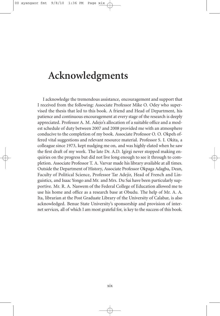### **Acknowledgments**

I acknowledge the tremendous assistance, encouragement and support that I received from the following: Associate Professor Mike O. Odey who supervised the thesis that led to this book. A friend and Head of Department, his patience and continuous encouragement at every stage of the research is deeply appreciated. Professor A. M. Adejo's allocation of a suitable office and a modest schedule of duty between 2007 and 2008 provided me with an atmosphere conducive to the completion of my book. Associate Professor O. O. Okpeh offered vital suggestions and relevant resource material. Professor S. I. Okita, a colleague since 1973, kept nudging me on, and was highly elated when he saw the first draft of my work. The late Dr. A.D. Igirgi never stopped making enquiries on the progress but did not live long enough to see it through to completion. Associate Professor T. A. Varvar made his library available at all times. Outside the Department of History, Associate Professor Okpaga Adagba, Dean, Faculty of Political Science, Professor Tar Adejir, Head of French and Linguistics, and Isaac Yongo and Mr. and Mrs. Du Sai have been particularly supportive. Mr. R. A. Naswem of the Federal College of Education allowed me to use his home and office as a research base at Obudu. The help of Mr. A. A. Ita, librarian at the Post Graduate Library of the University of Calabar, is also acknowledged. Benue State University's sponsorship and provision of internet services, all of which I am most grateful for, is key to the success of this book.